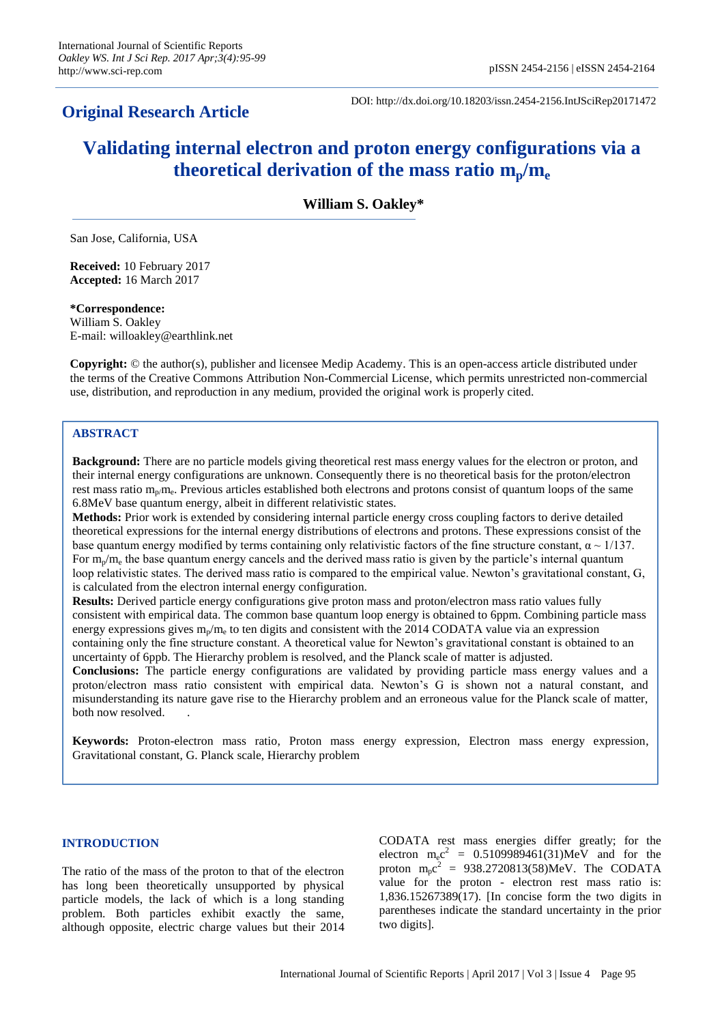# **Original Research Article**

DOI: http://dx.doi.org/10.18203/issn.2454-2156.IntJSciRep20171472

# **Validating internal electron and proton energy configurations via a theoretical derivation of the mass ratio mp/m<sup>e</sup>**

**William S. Oakley\***

San Jose, California, USA

**Received:** 10 February 2017 **Accepted:** 16 March 2017

**\*Correspondence:** William S. Oakley E-mail: willoakley@earthlink.net

**Copyright:** © the author(s), publisher and licensee Medip Academy. This is an open-access article distributed under the terms of the Creative Commons Attribution Non-Commercial License, which permits unrestricted non-commercial use, distribution, and reproduction in any medium, provided the original work is properly cited.

# **ABSTRACT**

**Background:** There are no particle models giving theoretical rest mass energy values for the electron or proton, and their internal energy configurations are unknown. Consequently there is no theoretical basis for the proton/electron rest mass ratio m<sub>p/</sub>m<sub>e</sub>. Previous articles established both electrons and protons consist of quantum loops of the same 6.8MeV base quantum energy, albeit in different relativistic states.

**Methods:** Prior work is extended by considering internal particle energy cross coupling factors to derive detailed theoretical expressions for the internal energy distributions of electrons and protons. These expressions consist of the base quantum energy modified by terms containing only relativistic factors of the fine structure constant,  $\alpha \sim 1/137$ . For  $m_p/m_e$  the base quantum energy cancels and the derived mass ratio is given by the particle's internal quantum loop relativistic states. The derived mass ratio is compared to the empirical value. Newton's gravitational constant, G, is calculated from the electron internal energy configuration.

**Results:** Derived particle energy configurations give proton mass and proton/electron mass ratio values fully consistent with empirical data. The common base quantum loop energy is obtained to 6ppm. Combining particle mass energy expressions gives  $m_p/m_e$  to ten digits and consistent with the 2014 CODATA value via an expression containing only the fine structure constant. A theoretical value for Newton"s gravitational constant is obtained to an uncertainty of 6ppb. The Hierarchy problem is resolved, and the Planck scale of matter is adjusted.

**Conclusions:** The particle energy configurations are validated by providing particle mass energy values and a proton/electron mass ratio consistent with empirical data. Newton"s G is shown not a natural constant, and misunderstanding its nature gave rise to the Hierarchy problem and an erroneous value for the Planck scale of matter, both now resolved. .

**Keywords:** Proton-electron mass ratio, Proton mass energy expression, Electron mass energy expression, Gravitational constant, G. Planck scale, Hierarchy problem

# **INTRODUCTION**

The ratio of the mass of the proton to that of the electron has long been theoretically unsupported by physical particle models, the lack of which is a long standing problem. Both particles exhibit exactly the same, although opposite, electric charge values but their 2014 CODATA rest mass energies differ greatly; for the electron  $m_ec^2 = 0.5109989461(31)MeV$  and for the proton  $m_p c^2 = 938.2720813(58)$ MeV. The CODATA value for the proton - electron rest mass ratio is: 1,836.15267389(17). [In concise form the two digits in parentheses indicate the standard uncertainty in the prior two digits].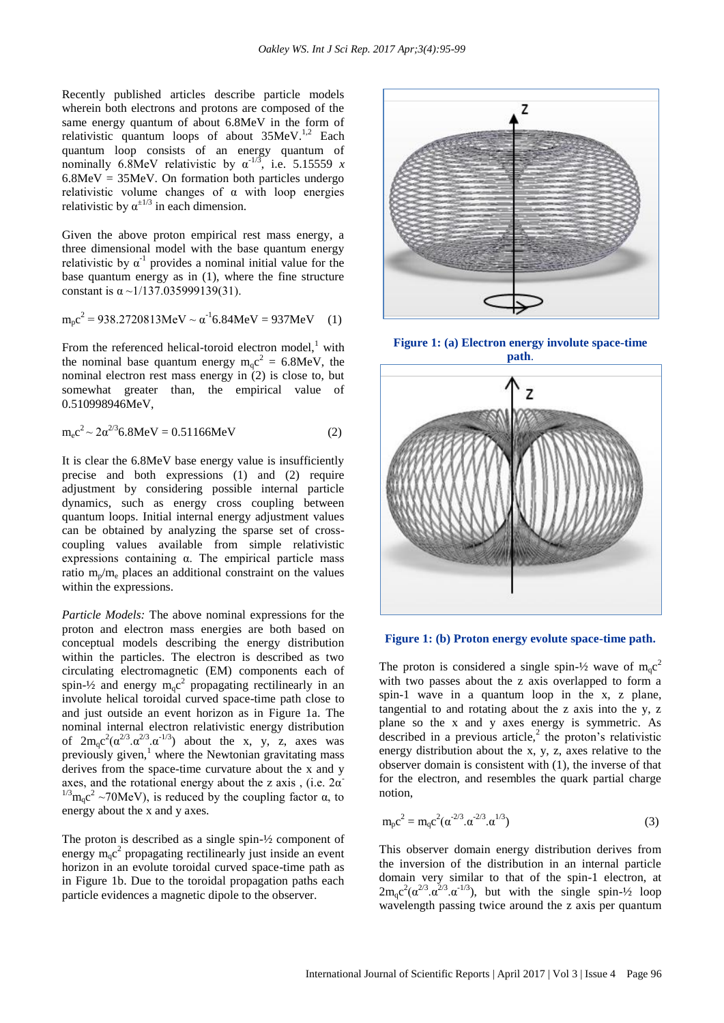Recently published articles describe particle models wherein both electrons and protons are composed of the same energy quantum of about 6.8MeV in the form of relativistic quantum loops of about  $35MeV.<sup>1,2</sup>$  Each quantum loop consists of an energy quantum of nominally 6.8MeV relativistic by  $\alpha^{-1/3}$ , i.e. 5.15559 *x*  $6.8MeV = 35MeV$ . On formation both particles undergo relativistic volume changes of  $\alpha$  with loop energies relativistic by  $\alpha^{\pm 1/3}$  in each dimension.

Given the above proton empirical rest mass energy, a three dimensional model with the base quantum energy relativistic by  $\alpha^{-1}$  provides a nominal initial value for the base quantum energy as in (1), where the fine structure constant is  $\alpha \sim 1/137.035999139(31)$ .

$$
m_{p}c^{2} = 938.2720813 \text{MeV} \sim \alpha^{-1} 6.84 \text{MeV} = 937 \text{MeV} \quad (1)
$$

From the referenced helical-toroid electron model.<sup>1</sup> with the nominal base quantum energy  $m_q c^2 = 6.8$ MeV, the nominal electron rest mass energy in (2) is close to, but somewhat greater than, the empirical value of 0.510998946MeV,

$$
m_{e}c^{2} \sim 2\alpha^{2/3} 6.8 MeV = 0.51166 MeV
$$
 (2)

It is clear the 6.8MeV base energy value is insufficiently precise and both expressions (1) and (2) require adjustment by considering possible internal particle dynamics, such as energy cross coupling between quantum loops. Initial internal energy adjustment values can be obtained by analyzing the sparse set of crosscoupling values available from simple relativistic expressions containing α. The empirical particle mass ratio  $m_p/m_e$  places an additional constraint on the values within the expressions.

*Particle Models:* The above nominal expressions for the proton and electron mass energies are both based on conceptual models describing the energy distribution within the particles. The electron is described as two circulating electromagnetic (EM) components each of spin- $\frac{1}{2}$  and energy  $m_q c^2$  propagating rectilinearly in an involute helical toroidal curved space-time path close to and just outside an event horizon as in Figure 1a. The nominal internal electron relativistic energy distribution of  $2m_qc^2(\alpha^{2/3}.\alpha^{2/3}.\alpha^{1/3})$  about the x, y, z, axes was previously given, $\frac{1}{1}$  where the Newtonian gravitating mass derives from the space-time curvature about the x and y axes, and the rotational energy about the z axis , (i.e.  $2\alpha$ ) <sup>1/3</sup>m<sub>q</sub>c<sup>2</sup> ~70MeV), is reduced by the coupling factor α, to energy about the x and y axes.

The proton is described as a single spin-½ component of energy m<sub>q</sub>c<sup>2</sup> propagating rectilinearly just inside an event horizon in an evolute toroidal curved space-time path as in Figure 1b. Due to the toroidal propagation paths each particle evidences a magnetic dipole to the observer.



**Figure 1: (a) Electron energy involute space-time path**.



**Figure 1: (b) Proton energy evolute space-time path.**

The proton is considered a single spin- $\frac{1}{2}$  wave of m<sub>q</sub>c<sup>2</sup> with two passes about the z axis overlapped to form a spin-1 wave in a quantum loop in the x, z plane, tangential to and rotating about the z axis into the y, z plane so the x and y axes energy is symmetric. As described in a previous article, $2$  the proton's relativistic energy distribution about the x, y, z, axes relative to the observer domain is consistent with (1), the inverse of that for the electron, and resembles the quark partial charge notion,

$$
m_{p}c^{2} = m_{q}c^{2}(\alpha^{2/3}.\alpha^{2/3}.\alpha^{1/3})
$$
\n(3)

This observer domain energy distribution derives from the inversion of the distribution in an internal particle domain very similar to that of the spin-1 electron, at  $2m_qc^2(\alpha^{2/3}.\alpha^{2/3}.\alpha^{1/3})$ , but with the single spin-1/2 loop wavelength passing twice around the z axis per quantum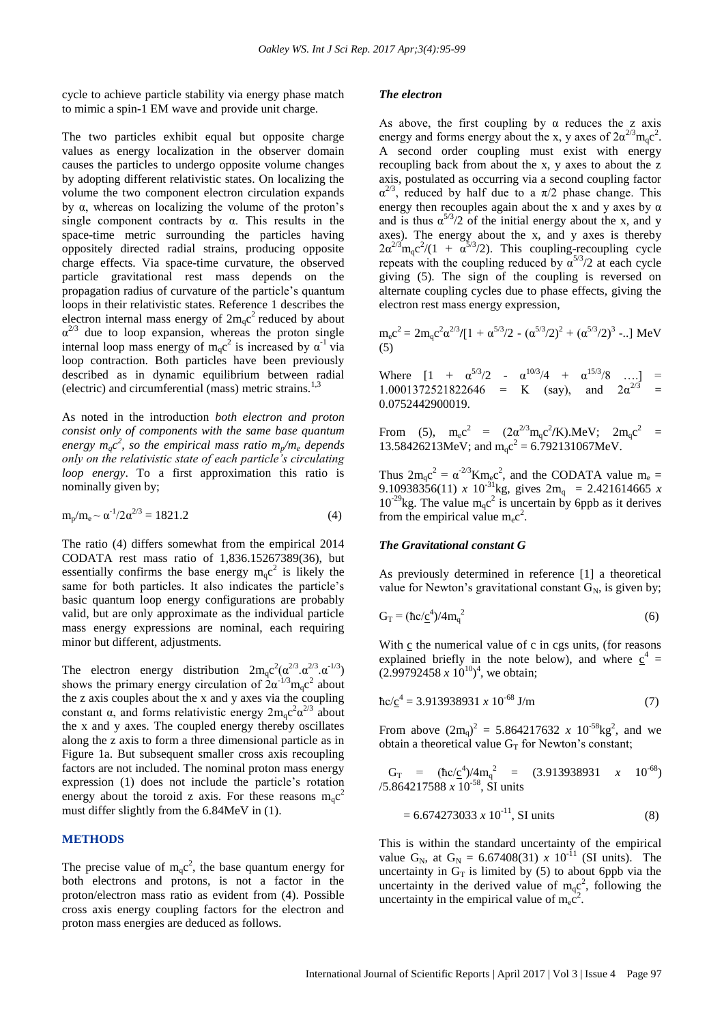cycle to achieve particle stability via energy phase match to mimic a spin-1 EM wave and provide unit charge.

The two particles exhibit equal but opposite charge values as energy localization in the observer domain causes the particles to undergo opposite volume changes by adopting different relativistic states. On localizing the volume the two component electron circulation expands by α, whereas on localizing the volume of the proton"s single component contracts by  $\alpha$ . This results in the space-time metric surrounding the particles having oppositely directed radial strains, producing opposite charge effects. Via space-time curvature, the observed particle gravitational rest mass depends on the propagation radius of curvature of the particle"s quantum loops in their relativistic states. Reference 1 describes the electron internal mass energy of  $2m_qc^2$  reduced by about  $\alpha^{2/3}$  due to loop expansion, whereas the proton single internal loop mass energy of  $m_q c^2$  is increased by  $\alpha^{-1}$  via loop contraction. Both particles have been previously described as in dynamic equilibrium between radial (electric) and circumferential (mass) metric strains.1,3

As noted in the introduction *both electron and proton consist only of components with the same base quantum energy*  $m_q c^2$ , so the empirical mass ratio  $m_p / m_e$  depends *only on the relativistic state of each particle's circulating loop energy*. To a first approximation this ratio is nominally given by;

$$
m_p/m_e \sim \alpha^{-1}/2\alpha^{2/3} = 1821.2\tag{4}
$$

The ratio (4) differs somewhat from the empirical 2014 CODATA rest mass ratio of 1,836.15267389(36), but essentially confirms the base energy  $m_q c^2$  is likely the same for both particles. It also indicates the particle's basic quantum loop energy configurations are probably valid, but are only approximate as the individual particle mass energy expressions are nominal, each requiring minor but different, adjustments.

The electron energy distribution  $2m_qc^2(\alpha^{2/3}.\alpha^{2/3}.\alpha^{1/3})$ shows the primary energy circulation of  $2\alpha^{-1/3}m_qc^2$  about the z axis couples about the x and y axes via the coupling constant  $\alpha$ , and forms relativistic energy  $2m_qc^2\alpha^{2/3}$  about the x and y axes. The coupled energy thereby oscillates along the z axis to form a three dimensional particle as in Figure 1a. But subsequent smaller cross axis recoupling factors are not included. The nominal proton mass energy expression (1) does not include the particle"s rotation energy about the toroid z axis. For these reasons  $m_q c^2$ must differ slightly from the 6.84MeV in (1).

#### **METHODS**

The precise value of  $m_q c^2$ , the base quantum energy for both electrons and protons, is not a factor in the proton/electron mass ratio as evident from (4). Possible cross axis energy coupling factors for the electron and proton mass energies are deduced as follows.

#### *The electron*

As above, the first coupling by  $\alpha$  reduces the z axis energy and forms energy about the x, y axes of  $2\alpha^{2/3}m_qc^2$ . A second order coupling must exist with energy recoupling back from about the x, y axes to about the z axis, postulated as occurring via a second coupling factor  $\alpha^{2/3}$ , reduced by half due to a  $\pi/2$  phase change. This energy then recouples again about the x and y axes by  $\alpha$ and is thus  $\alpha^{5/3}/2$  of the initial energy about the x, and y axes). The energy about the x, and y axes is thereby  $2\alpha^{2/3}$ m<sub>q</sub>c<sup>2</sup>/(1 +  $\alpha^{5/3}$ /2). This coupling-recoupling cycle repeats with the coupling reduced by  $\alpha^{5/3}/2$  at each cycle giving (5). The sign of the coupling is reversed on alternate coupling cycles due to phase effects, giving the electron rest mass energy expression,

 $m_e c^2 = 2 m_q c^2 \alpha^{2/3} / [1 + \alpha^{5/3} / 2 - (\alpha^{5/3} / 2)^2 + (\alpha^{5/3} / 2)^3 - ]$  MeV (5)

Where  $[1 + \alpha^{5/3}/2 - \alpha^{10/3}/4 + \alpha^{15/3}/8 \dots] =$ 1.0001372521822646 = K (say), and  $2\alpha^{2/3}$  = 0.0752442900019.

From (5),  $m_e c^2 = (2\alpha^{2/3} m_q c^2/K)$ .MeV;  $2m_q c^2 =$ 13.58426213MeV; and  $m_q c^2 = 6.792131067MeV$ .

Thus  $2m_qc^2 = \alpha^{-2/3}Km_ec^2$ , and the CODATA value  $m_e =$ 9.10938356(11) *x* 10<sup>-31</sup>kg, gives  $2m_q$  = 2.421614665 *x*  $10^{-29}$ kg. The value m<sub>q</sub>c<sup>2</sup> is uncertain by 6ppb as it derives from the empirical value  $m_ec^2$ .

#### *The Gravitational constant G*

As previously determined in reference [1] a theoretical value for Newton's gravitational constant  $G_N$ , is given by;

$$
G_T = (\hbar c/c^4)/4m_q^2 \tag{6}
$$

With c the numerical value of c in cgs units, (for reasons explained briefly in the note below), and where  $\underline{c}^4$  =  $(2.99792458 \times 10^{10})^4$ , we obtain;

$$
\hbar c/\underline{c}^4 = 3.913938931 \; x \; 10^{-68} \; J/m \tag{7}
$$

From above  $(2m_q)^2 = 5.864217632 \times 10^{-58} \text{kg}^2$ , and we obtain a theoretical value  $G_T$  for Newton's constant;

$$
G_T = (\hbar c/\underline{c}^4)/4m_q^2 = (3.913938931 \t x \t 10^{-68})
$$
  
7.864217588 x 10<sup>-58</sup>, SI units

$$
= 6.674273033 \; x \; 10^{-11}, \; SI \; units \tag{8}
$$

This is within the standard uncertainty of the empirical value G<sub>N</sub>, at G<sub>N</sub> = 6.67408(31) *x* 10<sup>-11</sup> (SI units). The uncertainty in  $G_T$  is limited by (5) to about 6ppb via the uncertainty in the derived value of  $m_q c^2$ , following the uncertainty in the empirical value of  $m_ec^2$ .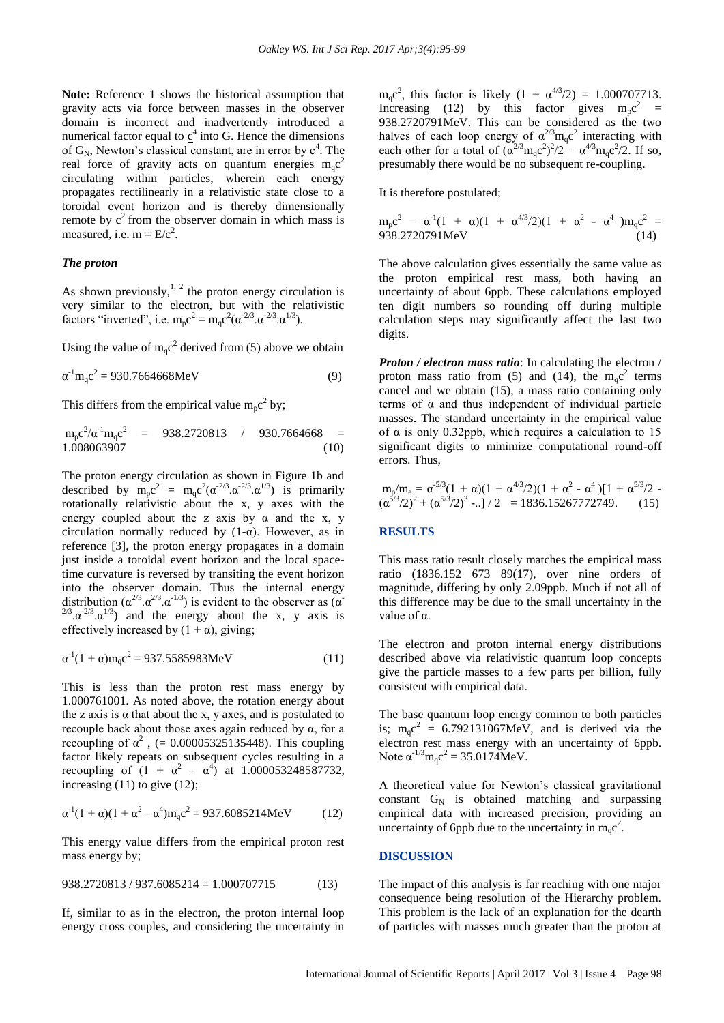**Note:** Reference 1 shows the historical assumption that gravity acts via force between masses in the observer domain is incorrect and inadvertently introduced a numerical factor equal to  $\underline{c}^4$  into G. Hence the dimensions of  $G_N$ , Newton's classical constant, are in error by  $c^4$ . The real force of gravity acts on quantum energies  $m_q c^2$ circulating within particles, wherein each energy propagates rectilinearly in a relativistic state close to a toroidal event horizon and is thereby dimensionally remote by  $c^2$  from the observer domain in which mass is measured, i.e.  $m = E/c^2$ .

# *The proton*

As shown previously, $1/2$  the proton energy circulation is very similar to the electron, but with the relativistic factors "inverted", i.e.  $m_p c^2 = m_q c^2 (\alpha^{2/3} \alpha^{2/3} \alpha^{1/3})$ .

Using the value of  $m_q c^2$  derived from (5) above we obtain

$$
\alpha^{-1} m_q c^2 = 930.7664668 \text{MeV}
$$
 (9)

This differs from the empirical value  $m_p c^2$  by;

$$
m_{p}c^{2}/\alpha^{1}m_{q}c^{2} = 938.2720813 / 930.7664668 = 1.008063907
$$
 (10)

The proton energy circulation as shown in Figure 1b and described by  $m_p c^2 = m_q c^2 (\alpha^{2/3} \cdot \alpha^{2/3} \cdot \alpha^{1/3})$  is primarily rotationally relativistic about the x, y axes with the energy coupled about the z axis by  $\alpha$  and the x, y circulation normally reduced by  $(1-\alpha)$ . However, as in reference [3], the proton energy propagates in a domain just inside a toroidal event horizon and the local spacetime curvature is reversed by transiting the event horizon into the observer domain. Thus the internal energy distribution  $(\alpha^{2/3} \alpha^{2/3} \alpha^{1/3})$  is evident to the observer as  $(\alpha^2 \alpha^{1/3})$  $2^{2/3}$ . $\alpha^{-2/3}$ . $\alpha^{1/3}$ ) and the energy about the x, y axis is effectively increased by  $(1 + \alpha)$ , giving;

$$
\alpha^{-1}(1+\alpha)m_qc^2 = 937.5585983MeV \tag{11}
$$

This is less than the proton rest mass energy by 1.000761001. As noted above, the rotation energy about the z axis is  $\alpha$  that about the x, y axes, and is postulated to recouple back about those axes again reduced by  $\alpha$ , for a recoupling of  $\alpha^2$ , (= 0.00005325135448). This coupling factor likely repeats on subsequent cycles resulting in a recoupling of  $(1 + \alpha^2 - \alpha^4)$  at 1.000053248587732, increasing  $(11)$  to give  $(12)$ ;

$$
\alpha^{-1}(1+\alpha)(1+\alpha^2-\alpha^4)m_qc^2 = 937.6085214MeV \qquad (12)
$$

This energy value differs from the empirical proton rest mass energy by;

$$
938.2720813 / 937.6085214 = 1.000707715 \tag{13}
$$

If, similar to as in the electron, the proton internal loop energy cross couples, and considering the uncertainty in

 $m_q c^2$ , this factor is likely  $(1 + \alpha^{4/3}/2) = 1.000707713$ . Increasing (12) by this factor gives  $m_p c^2$  = 938.2720791MeV. This can be considered as the two halves of each loop energy of  $\alpha^{2/3} m_q c^2$  interacting with each other for a total of  $(\alpha^{2/3}m_qc^2)^2/2 = \alpha^{4/3}m_qc^2/2$ . If so, presumably there would be no subsequent re-coupling.

It is therefore postulated;

$$
m_p c^2 = \alpha^{-1} (1 + \alpha)(1 + \alpha^{4/3}/2)(1 + \alpha^2 - \alpha^4) m_q c^2 = 938.2720791 MeV
$$
\n(14)

The above calculation gives essentially the same value as the proton empirical rest mass, both having an uncertainty of about 6ppb. These calculations employed ten digit numbers so rounding off during multiple calculation steps may significantly affect the last two digits.

*Proton / electron mass ratio*: In calculating the electron / proton mass ratio from (5) and (14), the  $m_qc^2$  terms cancel and we obtain (15), a mass ratio containing only terms of  $\alpha$  and thus independent of individual particle masses. The standard uncertainty in the empirical value of  $\alpha$  is only 0.32ppb, which requires a calculation to 15 significant digits to minimize computational round-off errors. Thus,

$$
m_p/m_e = \alpha^{5/3} (1 + \alpha)(1 + \alpha^{4/3}/2)(1 + \alpha^2 - \alpha^4)[1 + \alpha^{5/3}/2 - (\alpha^{5/3}/2)^2 + (\alpha^{5/3}/2)^3 - \ldots]/2 = 1836.15267772749.
$$
 (15)

#### **RESULTS**

This mass ratio result closely matches the empirical mass ratio (1836.152 673 89(17), over nine orders of magnitude, differing by only 2.09ppb. Much if not all of this difference may be due to the small uncertainty in the value of α.

The electron and proton internal energy distributions described above via relativistic quantum loop concepts give the particle masses to a few parts per billion, fully consistent with empirical data.

The base quantum loop energy common to both particles is;  $m_q c^2 = 6.792131067MeV$ , and is derived via the electron rest mass energy with an uncertainty of 6ppb. Note  $\alpha^{-1/3} m_q c^2 = 35.0174 MeV$ .

A theoretical value for Newton"s classical gravitational constant  $G_N$  is obtained matching and surpassing empirical data with increased precision, providing an uncertainty of 6ppb due to the uncertainty in  $m_q c^2$ .

### **DISCUSSION**

The impact of this analysis is far reaching with one major consequence being resolution of the Hierarchy problem. This problem is the lack of an explanation for the dearth of particles with masses much greater than the proton at